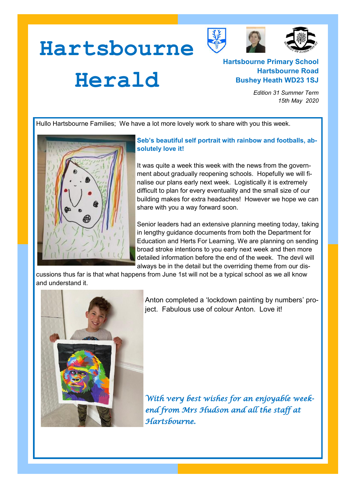



## **Herald**

**Hartsbourne** 

## **Hartsbourne Primary School Hartsbourne Road Bushey Heath WD23 1SJ**

*Edition 31 Summer Term 15th May 2020*

Hullo Hartsbourne Families; We have a lot more lovely work to share with you this week.



## **Seb's beautiful self portrait with rainbow and footballs, absolutely love it!**

It was quite a week this week with the news from the government about gradually reopening schools. Hopefully we will finalise our plans early next week. Logistically it is extremely difficult to plan for every eventuality and the small size of our building makes for extra headaches! However we hope we can share with you a way forward soon.

Senior leaders had an extensive planning meeting today, taking in lengthy guidance documents from both the Department for Education and Herts For Learning. We are planning on sending broad stroke intentions to you early next week and then more detailed information before the end of the week. The devil will always be in the detail but the overriding theme from our dis-

cussions thus far is that what happens from June 1st will not be a typical school as we all know and understand it.



Anton completed a 'lockdown painting by numbers' project. Fabulous use of colour Anton. Love it!

*With very best wishes for an enjoyable weekend from Mrs Hudson and all the staff at Hartsbourne.*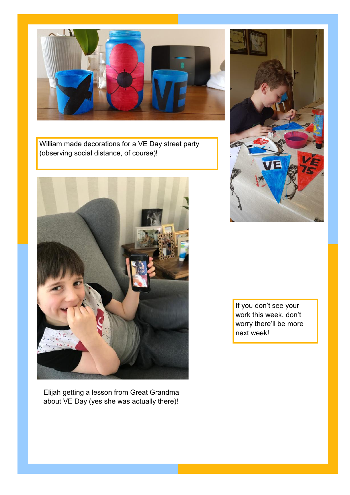

William made decorations for a VE Day street party (observing social distance, of course)!



Elijah getting a lesson from Great Grandma about VE Day (yes she was actually there)!



If you don't see your work this week, don't worry there'll be more next week!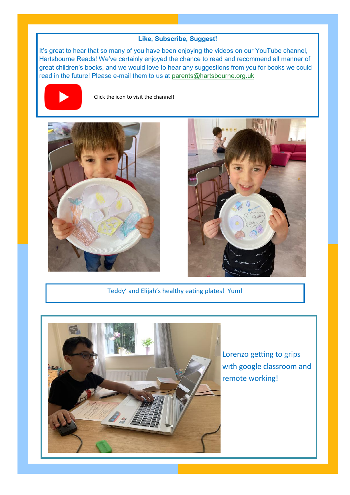## **Like, Subscribe, Suggest!**

It's great to hear that so many of you have been enjoying the videos on our YouTube channel, Hartsbourne Reads! We've certainly enjoyed the chance to read and recommend all manner of great children's books, and we would love to hear any suggestions from you for books we could read in the future! Please e-mail them to us at [parents@hartsbourne.org.uk](mailto:parents@hartsbourne.org.uk)



Click the icon to visit the channel!





Teddy' and Elijah's healthy eating plates! Yum!



Lorenzo getting to grips with google classroom and remote working!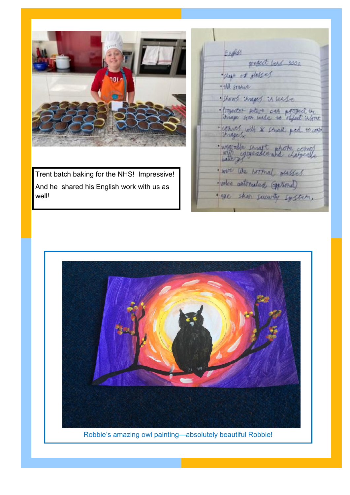

Trent batch baking for the NHS! Impressive! And he shared his English work with us as well!

Endist propect loss 3000 shape of glasses · the stane · Shows through it lease · freguetor seture cas aproged by · commes with \* small pad to cost · weg-ble senate state comp<br>bettery? · were like hormal gested. · voice automated (peticid) · exc. shop succeedly system,



Robbie's amazing owl painting—absolutely beautiful Robbie!